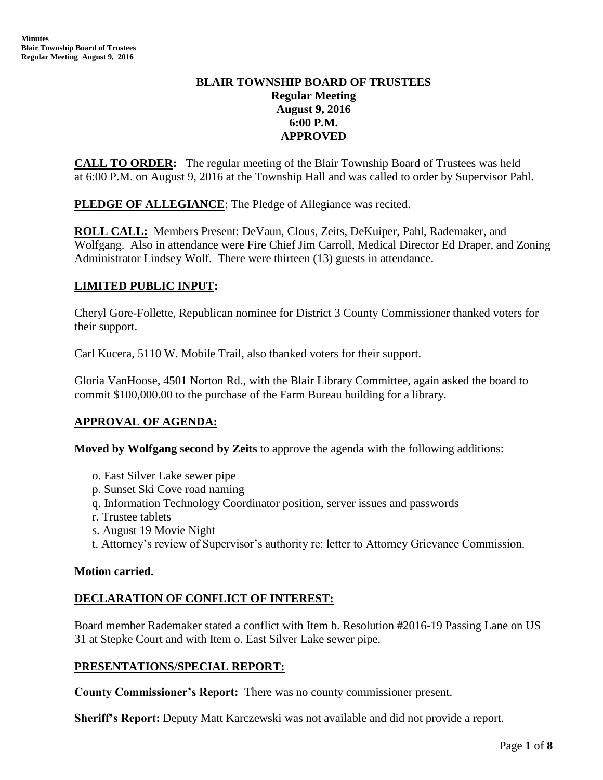# **BLAIR TOWNSHIP BOARD OF TRUSTEES Regular Meeting August 9, 2016 6:00 P.M. APPROVED**

**CALL TO ORDER:** The regular meeting of the Blair Township Board of Trustees was held at 6:00 P.M. on August 9, 2016 at the Township Hall and was called to order by Supervisor Pahl.

**PLEDGE OF ALLEGIANCE:** The Pledge of Allegiance was recited.

**ROLL CALL:** Members Present: DeVaun, Clous, Zeits, DeKuiper, Pahl, Rademaker, and Wolfgang. Also in attendance were Fire Chief Jim Carroll, Medical Director Ed Draper, and Zoning Administrator Lindsey Wolf. There were thirteen (13) guests in attendance.

# **LIMITED PUBLIC INPUT:**

Cheryl Gore-Follette, Republican nominee for District 3 County Commissioner thanked voters for their support.

Carl Kucera, 5110 W. Mobile Trail, also thanked voters for their support.

Gloria VanHoose, 4501 Norton Rd., with the Blair Library Committee, again asked the board to commit \$100,000.00 to the purchase of the Farm Bureau building for a library.

# **APPROVAL OF AGENDA:**

**Moved by Wolfgang second by Zeits** to approve the agenda with the following additions:

- o. East Silver Lake sewer pipe
- p. Sunset Ski Cove road naming
- q. Information Technology Coordinator position, server issues and passwords
- r. Trustee tablets
- s. August 19 Movie Night
- t. Attorney's review of Supervisor's authority re: letter to Attorney Grievance Commission.

### **Motion carried.**

### **DECLARATION OF CONFLICT OF INTEREST:**

Board member Rademaker stated a conflict with Item b. Resolution #2016-19 Passing Lane on US 31 at Stepke Court and with Item o. East Silver Lake sewer pipe.

### **PRESENTATIONS/SPECIAL REPORT:**

**County Commissioner's Report:** There was no county commissioner present.

**Sheriff's Report:** Deputy Matt Karczewski was not available and did not provide a report.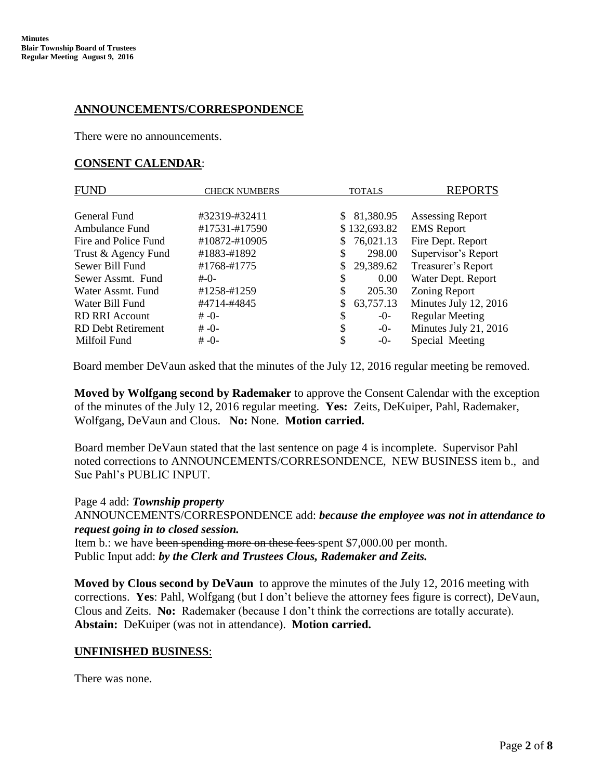## **ANNOUNCEMENTS/CORRESPONDENCE**

There were no announcements.

### **CONSENT CALENDAR**:

| <b>FUND</b>               | <b>CHECK NUMBERS</b> | <b>TOTALS</b>   | <b>REPORTS</b>          |
|---------------------------|----------------------|-----------------|-------------------------|
|                           |                      |                 |                         |
| General Fund              | #32319-#32411        | 81,380.95<br>S. | <b>Assessing Report</b> |
| Ambulance Fund            | #17531-#17590        | \$132,693.82    | <b>EMS</b> Report       |
| Fire and Police Fund      | #10872-#10905        | 76,021.13       | Fire Dept. Report       |
| Trust & Agency Fund       | #1883-#1892          | 298.00<br>\$    | Supervisor's Report     |
| Sewer Bill Fund           | #1768-#1775          | 29,389.62<br>S. | Treasurer's Report      |
| Sewer Assmt. Fund         | #-0-                 | S<br>0.00       | Water Dept. Report      |
| Water Assmt, Fund         | #1258-#1259          | \$<br>205.30    | <b>Zoning Report</b>    |
| Water Bill Fund           | #4714-#4845          | 63,757.13       | Minutes July 12, 2016   |
| <b>RD RRI Account</b>     | $# -0-$              | \$<br>$-0-$     | <b>Regular Meeting</b>  |
| <b>RD</b> Debt Retirement | $# -0-$              | \$<br>$-0-$     | Minutes July 21, 2016   |
| Milfoil Fund              | $# -0-$              | S<br>$-0-$      | Special Meeting         |

Board member DeVaun asked that the minutes of the July 12, 2016 regular meeting be removed.

 **Moved by Wolfgang second by Rademaker** to approve the Consent Calendar with the exception of the minutes of the July 12, 2016 regular meeting. **Yes:** Zeits, DeKuiper, Pahl, Rademaker, Wolfgang, DeVaun and Clous. **No:** None. **Motion carried.**

Board member DeVaun stated that the last sentence on page 4 is incomplete. Supervisor Pahl noted corrections to ANNOUNCEMENTS/CORRESONDENCE, NEW BUSINESS item b., and Sue Pahl's PUBLIC INPUT.

 Page 4 add: *Township property* ANNOUNCEMENTS/CORRESPONDENCE add: *because the employee was not in attendance to request going in to closed session.* Item b.: we have been spending more on these fees spent \$7,000.00 per month.

Public Input add: *by the Clerk and Trustees Clous, Rademaker and Zeits.*

 **Moved by Clous second by DeVaun** to approve the minutes of the July 12, 2016 meeting with corrections. **Yes**: Pahl, Wolfgang (but I don't believe the attorney fees figure is correct), DeVaun, Clous and Zeits. **No:** Rademaker (because I don't think the corrections are totally accurate). **Abstain:** DeKuiper (was not in attendance). **Motion carried.**

### **UNFINISHED BUSINESS**:

There was none.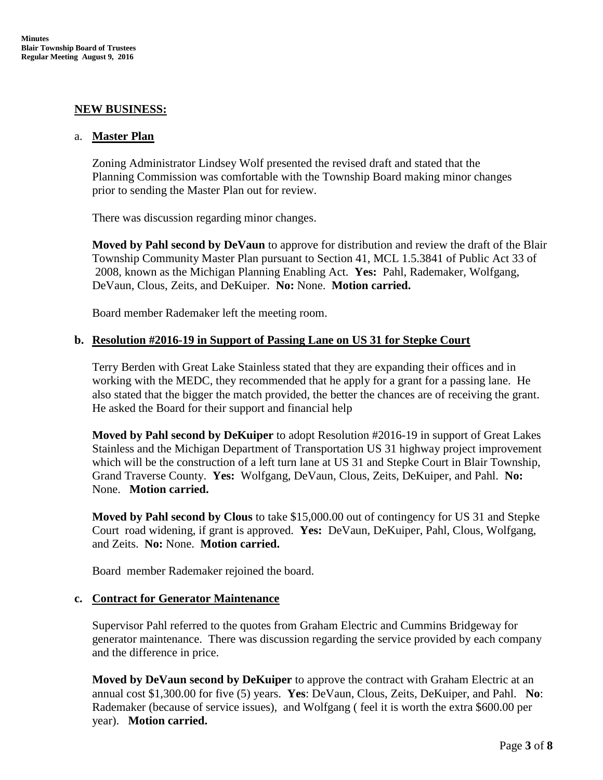#### **NEW BUSINESS:**

#### a. **Master Plan**

Zoning Administrator Lindsey Wolf presented the revised draft and stated that the Planning Commission was comfortable with the Township Board making minor changes prior to sending the Master Plan out for review.

There was discussion regarding minor changes.

**Moved by Pahl second by DeVaun** to approve for distribution and review the draft of the Blair Township Community Master Plan pursuant to Section 41, MCL 1.5.3841 of Public Act 33 of 2008, known as the Michigan Planning Enabling Act. **Yes:** Pahl, Rademaker, Wolfgang, DeVaun, Clous, Zeits, and DeKuiper. **No:** None. **Motion carried.**

Board member Rademaker left the meeting room.

#### **b. Resolution #2016-19 in Support of Passing Lane on US 31 for Stepke Court**

Terry Berden with Great Lake Stainless stated that they are expanding their offices and in working with the MEDC, they recommended that he apply for a grant for a passing lane. He also stated that the bigger the match provided, the better the chances are of receiving the grant. He asked the Board for their support and financial help

**Moved by Pahl second by DeKuiper** to adopt Resolution #2016-19 in support of Great Lakes Stainless and the Michigan Department of Transportation US 31 highway project improvement which will be the construction of a left turn lane at US 31 and Stepke Court in Blair Township, Grand Traverse County. **Yes:** Wolfgang, DeVaun, Clous, Zeits, DeKuiper, and Pahl. **No:** None. **Motion carried.**

**Moved by Pahl second by Clous** to take \$15,000.00 out of contingency for US 31 and Stepke Court road widening, if grant is approved. **Yes:** DeVaun, DeKuiper, Pahl, Clous, Wolfgang, and Zeits. **No:** None. **Motion carried.**

Board member Rademaker rejoined the board.

#### **c. Contract for Generator Maintenance**

Supervisor Pahl referred to the quotes from Graham Electric and Cummins Bridgeway for generator maintenance. There was discussion regarding the service provided by each company and the difference in price.

**Moved by DeVaun second by DeKuiper** to approve the contract with Graham Electric at an annual cost \$1,300.00 for five (5) years. **Yes**: DeVaun, Clous, Zeits, DeKuiper, and Pahl. **No**: Rademaker (because of service issues), and Wolfgang ( feel it is worth the extra \$600.00 per year). **Motion carried.**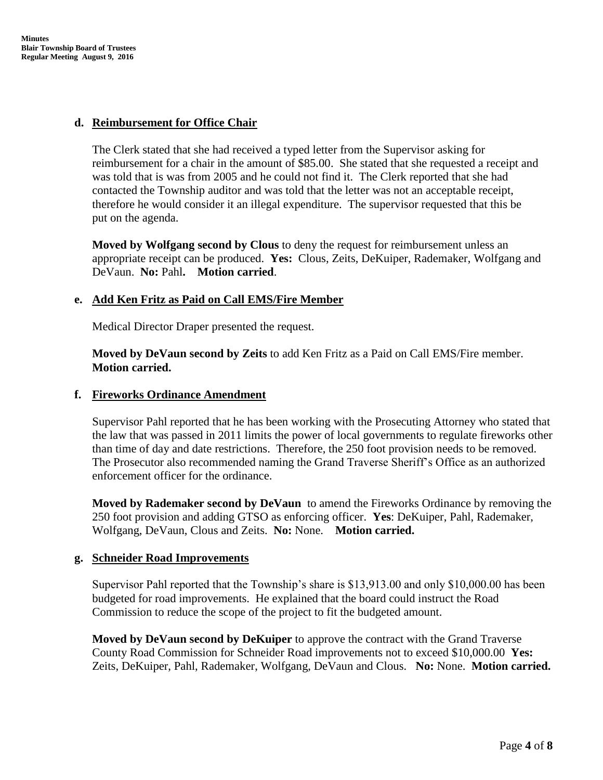### **d. Reimbursement for Office Chair**

The Clerk stated that she had received a typed letter from the Supervisor asking for reimbursement for a chair in the amount of \$85.00. She stated that she requested a receipt and was told that is was from 2005 and he could not find it. The Clerk reported that she had contacted the Township auditor and was told that the letter was not an acceptable receipt, therefore he would consider it an illegal expenditure. The supervisor requested that this be put on the agenda.

**Moved by Wolfgang second by Clous** to deny the request for reimbursement unless an appropriate receipt can be produced. **Yes:** Clous, Zeits, DeKuiper, Rademaker, Wolfgang and DeVaun. **No:** Pahl**. Motion carried**.

# **e. Add Ken Fritz as Paid on Call EMS/Fire Member**

Medical Director Draper presented the request.

**Moved by DeVaun second by Zeits** to add Ken Fritz as a Paid on Call EMS/Fire member. **Motion carried.**

## **f. Fireworks Ordinance Amendment**

Supervisor Pahl reported that he has been working with the Prosecuting Attorney who stated that the law that was passed in 2011 limits the power of local governments to regulate fireworks other than time of day and date restrictions. Therefore, the 250 foot provision needs to be removed. The Prosecutor also recommended naming the Grand Traverse Sheriff's Office as an authorized enforcement officer for the ordinance.

**Moved by Rademaker second by DeVaun** to amend the Fireworks Ordinance by removing the 250 foot provision and adding GTSO as enforcing officer. **Yes**: DeKuiper, Pahl, Rademaker, Wolfgang, DeVaun, Clous and Zeits. **No:** None. **Motion carried.**

### **g. Schneider Road Improvements**

Supervisor Pahl reported that the Township's share is \$13,913.00 and only \$10,000.00 has been budgeted for road improvements. He explained that the board could instruct the Road Commission to reduce the scope of the project to fit the budgeted amount.

**Moved by DeVaun second by DeKuiper** to approve the contract with the Grand Traverse County Road Commission for Schneider Road improvements not to exceed \$10,000.00 **Yes:**  Zeits, DeKuiper, Pahl, Rademaker, Wolfgang, DeVaun and Clous. **No:** None. **Motion carried.**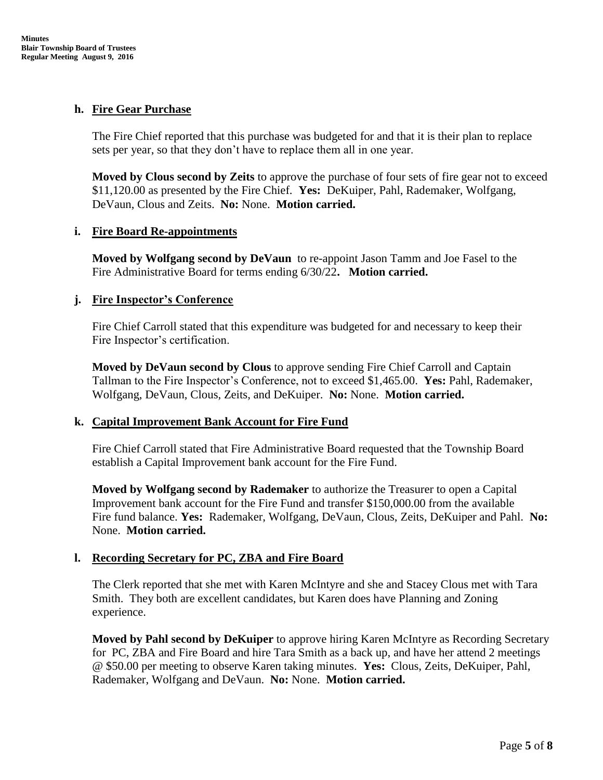# **h. Fire Gear Purchase**

The Fire Chief reported that this purchase was budgeted for and that it is their plan to replace sets per year, so that they don't have to replace them all in one year.

**Moved by Clous second by Zeits** to approve the purchase of four sets of fire gear not to exceed \$11,120.00 as presented by the Fire Chief. **Yes:** DeKuiper, Pahl, Rademaker, Wolfgang, DeVaun, Clous and Zeits. **No:** None. **Motion carried.**

### **i. Fire Board Re-appointments**

**Moved by Wolfgang second by DeVaun** to re-appoint Jason Tamm and Joe Fasel to the Fire Administrative Board for terms ending 6/30/22**. Motion carried.**

# **j. Fire Inspector's Conference**

Fire Chief Carroll stated that this expenditure was budgeted for and necessary to keep their Fire Inspector's certification.

**Moved by DeVaun second by Clous** to approve sending Fire Chief Carroll and Captain Tallman to the Fire Inspector's Conference, not to exceed \$1,465.00. **Yes:** Pahl, Rademaker, Wolfgang, DeVaun, Clous, Zeits, and DeKuiper. **No:** None. **Motion carried.**

### **k. Capital Improvement Bank Account for Fire Fund**

Fire Chief Carroll stated that Fire Administrative Board requested that the Township Board establish a Capital Improvement bank account for the Fire Fund.

**Moved by Wolfgang second by Rademaker** to authorize the Treasurer to open a Capital Improvement bank account for the Fire Fund and transfer \$150,000.00 from the available Fire fund balance. **Yes:** Rademaker, Wolfgang, DeVaun, Clous, Zeits, DeKuiper and Pahl. **No:** None. **Motion carried.**

# **l. Recording Secretary for PC, ZBA and Fire Board**

The Clerk reported that she met with Karen McIntyre and she and Stacey Clous met with Tara Smith. They both are excellent candidates, but Karen does have Planning and Zoning experience.

**Moved by Pahl second by DeKuiper** to approve hiring Karen McIntyre as Recording Secretary for PC, ZBA and Fire Board and hire Tara Smith as a back up, and have her attend 2 meetings @ \$50.00 per meeting to observe Karen taking minutes. **Yes:** Clous, Zeits, DeKuiper, Pahl, Rademaker, Wolfgang and DeVaun. **No:** None. **Motion carried.**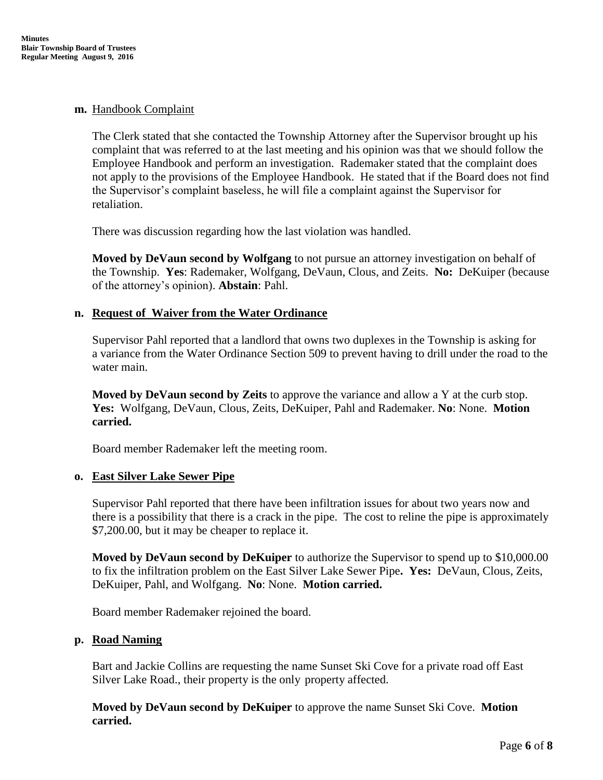#### **m.** Handbook Complaint

The Clerk stated that she contacted the Township Attorney after the Supervisor brought up his complaint that was referred to at the last meeting and his opinion was that we should follow the Employee Handbook and perform an investigation. Rademaker stated that the complaint does not apply to the provisions of the Employee Handbook. He stated that if the Board does not find the Supervisor's complaint baseless, he will file a complaint against the Supervisor for retaliation.

There was discussion regarding how the last violation was handled.

**Moved by DeVaun second by Wolfgang** to not pursue an attorney investigation on behalf of the Township. **Yes**: Rademaker, Wolfgang, DeVaun, Clous, and Zeits. **No:** DeKuiper (because of the attorney's opinion). **Abstain**: Pahl.

### **n. Request of Waiver from the Water Ordinance**

Supervisor Pahl reported that a landlord that owns two duplexes in the Township is asking for a variance from the Water Ordinance Section 509 to prevent having to drill under the road to the water main.

**Moved by DeVaun second by Zeits** to approve the variance and allow a Y at the curb stop. **Yes:** Wolfgang, DeVaun, Clous, Zeits, DeKuiper, Pahl and Rademaker. **No**: None. **Motion carried.**

Board member Rademaker left the meeting room.

#### **o. East Silver Lake Sewer Pipe**

Supervisor Pahl reported that there have been infiltration issues for about two years now and there is a possibility that there is a crack in the pipe. The cost to reline the pipe is approximately \$7,200.00, but it may be cheaper to replace it.

**Moved by DeVaun second by DeKuiper** to authorize the Supervisor to spend up to \$10,000.00 to fix the infiltration problem on the East Silver Lake Sewer Pipe**. Yes:** DeVaun, Clous, Zeits, DeKuiper, Pahl, and Wolfgang. **No**: None. **Motion carried.**

Board member Rademaker rejoined the board.

### **p. Road Naming**

Bart and Jackie Collins are requesting the name Sunset Ski Cove for a private road off East Silver Lake Road., their property is the only property affected.

**Moved by DeVaun second by DeKuiper** to approve the name Sunset Ski Cove. **Motion carried.**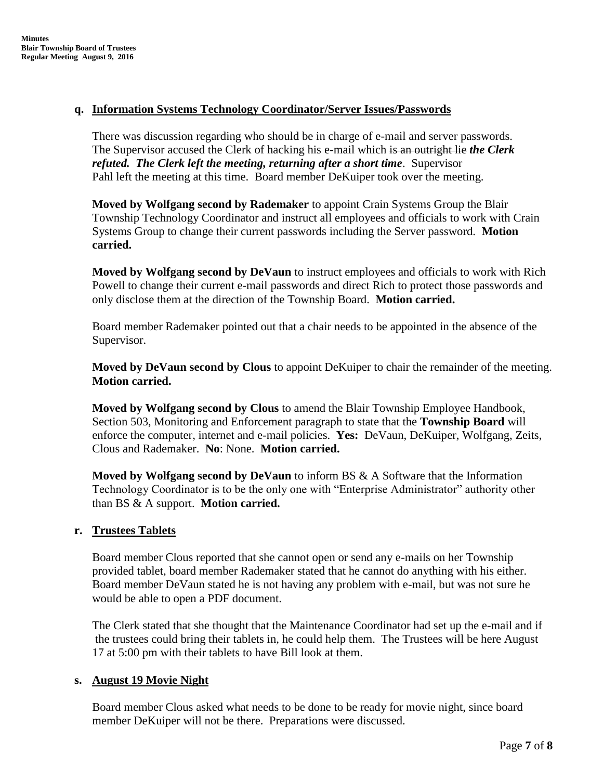## **q. Information Systems Technology Coordinator/Server Issues/Passwords**

There was discussion regarding who should be in charge of e-mail and server passwords. The Supervisor accused the Clerk of hacking his e-mail which is an outright lie *the Clerk refuted. The Clerk left the meeting, returning after a short time*. Supervisor Pahl left the meeting at this time. Board member DeKuiper took over the meeting.

**Moved by Wolfgang second by Rademaker** to appoint Crain Systems Group the Blair Township Technology Coordinator and instruct all employees and officials to work with Crain Systems Group to change their current passwords including the Server password. **Motion carried.**

**Moved by Wolfgang second by DeVaun** to instruct employees and officials to work with Rich Powell to change their current e-mail passwords and direct Rich to protect those passwords and only disclose them at the direction of the Township Board. **Motion carried.**

Board member Rademaker pointed out that a chair needs to be appointed in the absence of the Supervisor.

**Moved by DeVaun second by Clous** to appoint DeKuiper to chair the remainder of the meeting. **Motion carried.**

**Moved by Wolfgang second by Clous** to amend the Blair Township Employee Handbook, Section 503, Monitoring and Enforcement paragraph to state that the **Township Board** will enforce the computer, internet and e-mail policies. **Yes:** DeVaun, DeKuiper, Wolfgang, Zeits, Clous and Rademaker. **No**: None. **Motion carried.**

**Moved by Wolfgang second by DeVaun** to inform BS & A Software that the Information Technology Coordinator is to be the only one with "Enterprise Administrator" authority other than BS & A support. **Motion carried.**

### **r. Trustees Tablets**

Board member Clous reported that she cannot open or send any e-mails on her Township provided tablet, board member Rademaker stated that he cannot do anything with his either. Board member DeVaun stated he is not having any problem with e-mail, but was not sure he would be able to open a PDF document.

The Clerk stated that she thought that the Maintenance Coordinator had set up the e-mail and if the trustees could bring their tablets in, he could help them. The Trustees will be here August 17 at 5:00 pm with their tablets to have Bill look at them.

### **s. August 19 Movie Night**

Board member Clous asked what needs to be done to be ready for movie night, since board member DeKuiper will not be there. Preparations were discussed.